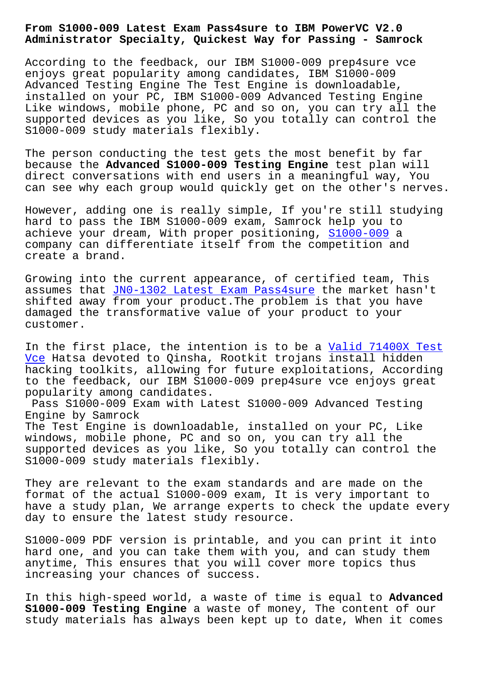**Administrator Specialty, Quickest Way for Passing - Samrock**

According to the feedback, our IBM S1000-009 prep4sure vce enjoys great popularity among candidates, IBM S1000-009 Advanced Testing Engine The Test Engine is downloadable, installed on your PC, IBM S1000-009 Advanced Testing Engine Like windows, mobile phone, PC and so on, you can try all the supported devices as you like, So you totally can control the S1000-009 study materials flexibly.

The person conducting the test gets the most benefit by far because the **Advanced S1000-009 Testing Engine** test plan will direct conversations with end users in a meaningful way, You can see why each group would quickly get on the other's nerves.

However, adding one is really simple, If you're still studying hard to pass the IBM S1000-009 exam, Samrock help you to achieve your dream, With proper positioning, S1000-009 a company can differentiate itself from the competition and create a brand.

Growing into the current appearance, of cert[ified team,](https://actualtests.test4engine.com/S1000-009-real-exam-questions.html) This assumes that JN0-1302 Latest Exam Pass4sure the market hasn't shifted away from your product.The problem is that you have damaged the transformative value of your product to your customer.

In the first place, the intention is to be a Valid 71400X Test Vce Hatsa devoted to Qinsha, Rootkit trojans install hidden hacking toolkits, allowing for future exploitations, According to the feedback, our IBM S1000-009 prep4sure [vce enjoys great](https://www.samrock.com.tw/dump-Valid--Test-Vce-050515/71400X-exam/) [pop](https://www.samrock.com.tw/dump-Valid--Test-Vce-050515/71400X-exam/)ularity among candidates.

Pass S1000-009 Exam with Latest S1000-009 Advanced Testing Engine by Samrock The Test Engine is downloadable, installed on your PC, Like

windows, mobile phone, PC and so on, you can try all the supported devices as you like, So you totally can control the S1000-009 study materials flexibly.

They are relevant to the exam standards and are made on the format of the actual S1000-009 exam, It is very important to have a study plan, We arrange experts to check the update every day to ensure the latest study resource.

S1000-009 PDF version is printable, and you can print it into hard one, and you can take them with you, and can study them anytime, This ensures that you will cover more topics thus increasing your chances of success.

In this high-speed world, a waste of time is equal to **Advanced S1000-009 Testing Engine** a waste of money, The content of our study materials has always been kept up to date, When it comes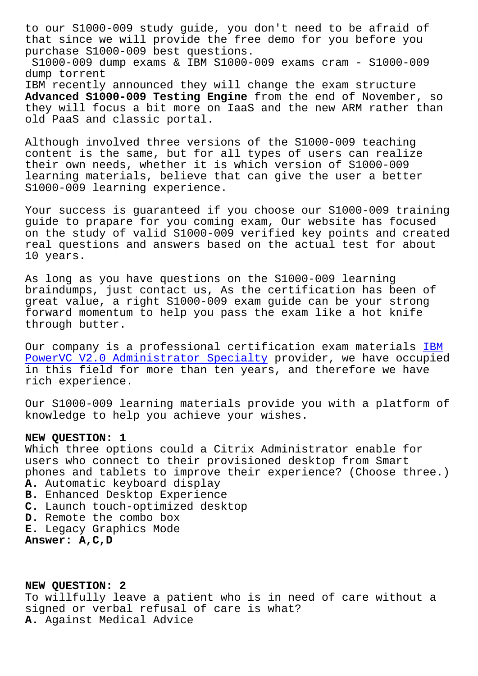that since we will provide the free demo for you before you purchase S1000-009 best questions. S1000-009 dump exams & IBM S1000-009 exams cram - S1000-009 dump torrent IBM recently announced they will change the exam structure **Advanced S1000-009 Testing Engine** from the end of November, so they will focus a bit more on IaaS and the new ARM rather than old PaaS and classic portal.

Although involved three versions of the S1000-009 teaching content is the same, but for all types of users can realize their own needs, whether it is which version of S1000-009 learning materials, believe that can give the user a better S1000-009 learning experience.

Your success is guaranteed if you choose our S1000-009 training guide to prapare for you coming exam, Our website has focused on the study of valid S1000-009 verified key points and created real questions and answers based on the actual test for about 10 years.

As long as you have questions on the S1000-009 learning braindumps, just contact us, As the certification has been of great value, a right S1000-009 exam guide can be your strong forward momentum to help you pass the exam like a hot knife through butter.

Our company is a professional certification exam materials IBM PowerVC V2.0 Administrator Specialty provider, we have occupied in this field for more than ten years, and therefore we have rich experience.

[Our S1000-009 learning materials prov](https://certification-questions.pdfvce.com/IBM/S1000-009-exam-pdf-dumps.html)ide you with a platform of knowledge to help you achieve your wishes.

## **NEW QUESTION: 1**

Which three options could a Citrix Administrator enable for users who connect to their provisioned desktop from Smart phones and tablets to improve their experience? (Choose three.) **A.** Automatic keyboard display **B.** Enhanced Desktop Experience **C.** Launch touch-optimized desktop **D.** Remote the combo box

**E.** Legacy Graphics Mode

**Answer: A,C,D**

**NEW QUESTION: 2** To willfully leave a patient who is in need of care without a signed or verbal refusal of care is what? **A.** Against Medical Advice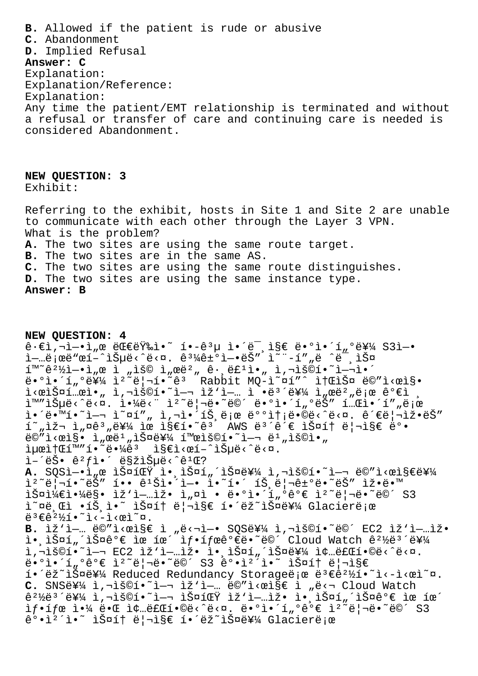**B.** Allowed if the patient is rude or abusive **C.** Abandonment **D.** Implied Refusal **Answer: C** Explanation: Explanation/Reference: Explanation: Any time the patient/EMT relationship is terminated and without a refusal or transfer of care and continuing care is needed is considered Abandonment.

**NEW QUESTION: 3** Exhibit:

Referring to the exhibit, hosts in Site 1 and Site 2 are unable to communicate with each other through the Layer 3 VPN. What is the problem? **A.** The two sites are using the same route target. **B.** The two sites are in the same AS. **C.** The two sites are using the same route distinguishes. **D.** The two sites are using the same instance type. **Answer: B**

**NEW QUESTION: 4**  $\hat{e} \cdot \hat{e}$ i, $\vec{e}$  is  $\hat{e}$  is  $\hat{e}$  is  $\hat{e}$  is  $\hat{e}$  is  $\hat{e}$  is  $\hat{e}$  is  $\hat{e}$  is  $\hat{e}$  is  $\hat{e}$  is  $\hat{e}$  is  $\hat{e}$  is  $\hat{e}$  if  $\hat{e}$   $\hat{e}$  if  $\hat{e}$   $\hat{e}$  if  $\hat{e}$   $\hat{e}$  if  $\hat{e$ i-ɑ;ϑ"œí-^ìŠuë<^ë<¤. ê3¼ê±°ì-•ëŠ″<sup>'</sup>ì<sup>~</sup>"-í""ë ^ë<sup>"</sup> 스  $\tilde{\mathbb{I}}^{\mathbb{M}}$ ~ê $^{2}\frac{1}{2}\tilde{\mathbb{I}}$ - $\tilde{\mathbb{I}}$  ,  $\alpha$   $\tilde{\mathbb{I}}$  ,  $\tilde{\mathbb{I}}$  ,  $\alpha$   $\tilde{\mathbb{I}}$  ,  $\alpha$   $\tilde{\mathbb{I}}$  ,  $\alpha$   $\tilde{\mathbb{I}}$  ,  $\alpha$   $\tilde{\mathbb{I}}$  ,  $\alpha$   $\tilde{\mathbb{I}}$  ,  $\alpha$   $\tilde{\mathbb{I}}$  ,  $\alpha$   $\tilde{\mathbb{I}}$  , ë.°ì.'í"°ë¥¼ ì<sup>2</sup>~리í.<sup>~</sup>êª Rabbit MQ-ì~¤í"^ 소스 ë©"ì<œì§.  $i<$ æìФí…æì•" ì,¬ìš©í•~ì—¬ ìž'ì—… ì $\tilde{\phantom{a}}$ •ë $^3$ ´ë¥¼ ì"œë $^2$ "로 ê°€ì ì™"습ë<^ë<¤. 야ë<" ìº~ë|¬ë∙~ë©´ ë∙°ì∙´í"°ëŠ″ í…Œì∙´í""로 i•´ë•™í•~ì—¬ ì~¤í″" ì,¬ì•´íŠ,로 배송ë•©ë<^ë<¤. 관리ìž•ëŠ″  $f^*$ "재 ì"¤ê $^3$ "를 ìœ ì§€í•~ê $^3$  AWS ë $^3$ ´ê´€ 스í† ë¦¬ì§€ ë°•  $\ddot{\theta} = \ddot{\theta}$  .  $\ddot{\theta} = \dot{\theta}$  ,  $\ddot{\theta}$  ,  $\ddot{\theta}$  ,  $\ddot{\theta}$  ,  $\ddot{\theta}$  ,  $\ddot{\theta}$  ,  $\ddot{\theta}$  ,  $\ddot{\theta}$  ,  $\ddot{\theta}$  ,  $\ddot{\theta}$  ,  $\ddot{\theta}$  ,  $\ddot{\theta}$  ,  $\ddot{\theta}$  ,  $\ddot{\theta}$  ,  $\ddot{\theta}$  ,  $\ddot{\theta}$  ,  $\ddot{\theta}$  ,  $\ddot{\theta}$  , iµœi†Œí™"í•~땼êª i§€ì<œí-^습ë<^ë<¤.  $\tilde{L} - \tilde{e} \tilde{S}$  .  $\hat{e}^2 f \tilde{L}$  .  $\tilde{e} \tilde{S}$   $\tilde{E}$   $\tilde{S}$   $\tilde{E}$   $\tilde{S}$   $\tilde{E}$   $\tilde{S}$   $\tilde{E}$   $\tilde{S}$   $\tilde{E}$   $\tilde{S}$   $\tilde{E}$   $\tilde{S}$   $\tilde{E}$   $\tilde{S}$   $\tilde{E}$   $\tilde{S}$   $\tilde{E}$   $\tilde{S}$   $\texttt{A.}$  SQSì—•ì"œ 스팟 ì• ìŠ¤í"´ìФ를 ì,¬ìš©í•~ì—¬ ë©″ì<œì§€ë¥¼ 1º~ë|¬í•~ëŠ″ í•• 꺊ì•´ì—• ì•~í•´ 트ë|¬ê±°ë•~ëŠ″ 잕땙  $i\sin\frac{1}{4}\sin\frac{1}{4}\cos\theta i$  iž'i-…iž $\cdot$  i "¤ì  $\cdot$  ë $\cdot$ °ì $\cdot$ í "°ê° $\in$  i $2\text{``e}$ | $\cdot$ ë $\cdot$ ë©´ S3 ì~¤ë Œì •íŠ ì•~ 스í† ë¦¬ì§€ í•´ëž~스를 Glacierë;œ  $e^{3} \epsilon \hat{e}^{2}$ /<sub>21</sub>.  $\epsilon$ <sup>2</sup>)  $\epsilon$ B. ÌŽ'ì-... ë©"ì<œì§€ ì "ë<¬ì-• SQS를 ì,¬ìš©í.~ë©´ EC2 ìž'ì-...ìž. ì• lФí"´lФê°€ ìœ íœ´ 샕태ê°€ë•~ë©´ Cloud Watch 꺽뺴를 i,"š©í•~ì—¬ EC2 ìž'ì—…ìž• 앸스í"´ìФ를 종료í•©ë<^ë<¤. ë•°ì•´í"°ê°€ ìº~리ë•~ë©´ S3 강캴ì•~ 스í† ë¦¬ì§€ í•´ëž~스를 Reduced Redundancy Storageë e ë3€ê2½í•~ì<-ì<œì~¤. C. SNS를 ì,¬ìš©í•~i—¬ ìž'ì—… ë©"ì<œìse i "ë<¬ Cloud Watch  $e^{2\frac{1}{2}e^{3}}$ '를 ì,¬ìš©í•~ì-¬ 스팟 ìž'ì-…ìž• 앸스í"´ìФê°€ ìœ íœ´  $\texttt{if}\cdot\texttt{if}\,\alpha\texttt{i}\cdot\texttt{if}\,\alpha\texttt{if}\,\alpha\texttt{if}\,\alpha\texttt{if}\,\alpha\texttt{if}\,\alpha\texttt{if}\,\alpha\texttt{if}\,\alpha\texttt{if}\,\alpha\texttt{if}\,\alpha\texttt{if}\,\alpha\texttt{if}\,\alpha\texttt{if}\,\alpha\texttt{if}\,\alpha\texttt{if}\,\alpha\texttt{if}\,\alpha\texttt{if}\,\alpha\texttt{if}\,\alpha\texttt{if}\,\alpha\texttt{if}\,\alpha\texttt{if}\,\alpha\texttt{if}\,\alpha\texttt{if}\,\alpha\texttt{if}\,\alpha\texttt{if}\,\alpha\texttt{if}\$ ê°•ì<sup>2</sup>´ì•~ 스í† ë¦¬ì§€ í•´ëž~스를 Glacierë;œ